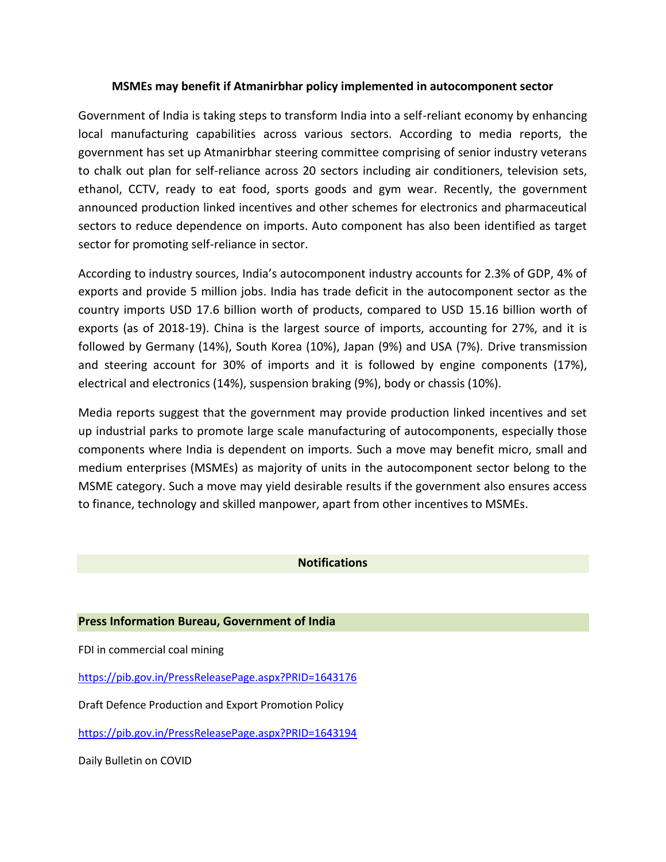## **MSMEs may benefit if Atmanirbhar policy implemented in autocomponent sector**

Government of India is taking steps to transform India into a self-reliant economy by enhancing local manufacturing capabilities across various sectors. According to media reports, the government has set up Atmanirbhar steering committee comprising of senior industry veterans to chalk out plan for self-reliance across 20 sectors including air conditioners, television sets, ethanol, CCTV, ready to eat food, sports goods and gym wear. Recently, the government announced production linked incentives and other schemes for electronics and pharmaceutical sectors to reduce dependence on imports. Auto component has also been identified as target sector for promoting self-reliance in sector.

According to industry sources, India's autocomponent industry accounts for 2.3% of GDP, 4% of exports and provide 5 million jobs. India has trade deficit in the autocomponent sector as the country imports USD 17.6 billion worth of products, compared to USD 15.16 billion worth of exports (as of 2018-19). China is the largest source of imports, accounting for 27%, and it is followed by Germany (14%), South Korea (10%), Japan (9%) and USA (7%). Drive transmission and steering account for 30% of imports and it is followed by engine components (17%), electrical and electronics (14%), suspension braking (9%), body or chassis (10%).

Media reports suggest that the government may provide production linked incentives and set up industrial parks to promote large scale manufacturing of autocomponents, especially those components where India is dependent on imports. Such a move may benefit micro, small and medium enterprises (MSMEs) as majority of units in the autocomponent sector belong to the MSME category. Such a move may yield desirable results if the government also ensures access to finance, technology and skilled manpower, apart from other incentives to MSMEs.

## **Notifications**

## **Press Information Bureau, Government of India**

FDI in commercial coal mining

<https://pib.gov.in/PressReleasePage.aspx?PRID=1643176>

Draft Defence Production and Export Promotion Policy

<https://pib.gov.in/PressReleasePage.aspx?PRID=1643194>

Daily Bulletin on COVID